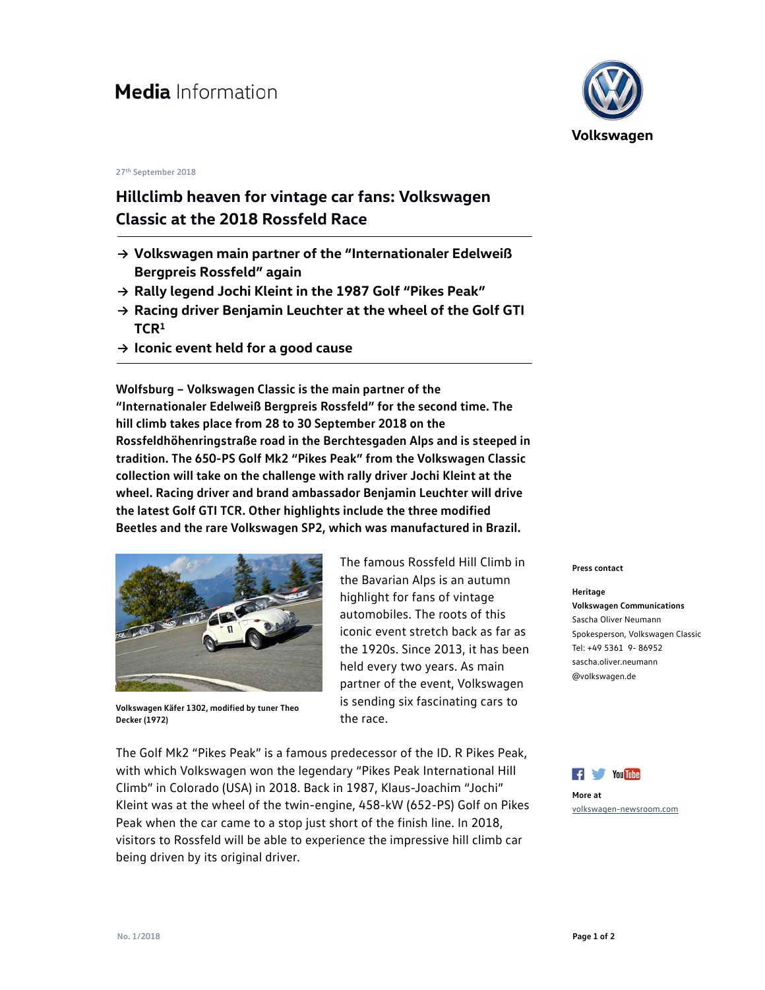## **27th September 2018**

## **Hillclimb heaven for vintage car fans: Volkswagen Classic at the 2018 Rossfeld Race**

- **→ Volkswagen main partner of the "Internationaler Edelweiß Bergpreis Rossfeld" again**
- **→ Rally legend Jochi Kleint in the 1987 Golf "Pikes Peak"**
- **→ Racing driver Benjamin Leuchter at the wheel of the Golf GTI TCR<sup>1</sup>**
- **→ Iconic event held for a good cause**

**Wolfsburg – Volkswagen Classic is the main partner of the "Internationaler Edelweiß Bergpreis Rossfeld" for the second time. The hill climb takes place from 28 to 30 September 2018 on the Rossfeldhöhenringstraße road in the Berchtesgaden Alps and is steeped in tradition. The 650-PS Golf Mk2 "Pikes Peak" from the Volkswagen Classic collection will take on the challenge with rally driver Jochi Kleint at the wheel. Racing driver and brand ambassador Benjamin Leuchter will drive the latest Golf GTI TCR. Other highlights include the three modified Beetles and the rare Volkswagen SP2, which was manufactured in Brazil.** 



**Volkswagen Käfer 1302, modified by tuner Theo Decker (1972)** 

The famous Rossfeld Hill Climb in the Bavarian Alps is an autumn highlight for fans of vintage automobiles. The roots of this iconic event stretch back as far as the 1920s. Since 2013, it has been held every two years. As main partner of the event, Volkswagen is sending six fascinating cars to the race.

The Golf Mk2 "Pikes Peak" is a famous predecessor of the ID. R Pikes Peak, with which Volkswagen won the legendary "Pikes Peak International Hill Climb" in Colorado (USA) in 2018. Back in 1987, Klaus-Joachim "Jochi" Kleint was at the wheel of the twin-engine, 458-kW (652-PS) Golf on Pikes Peak when the car came to a stop just short of the finish line. In 2018, visitors to Rossfeld will be able to experience the impressive hill climb car being driven by its original driver.



## **Press contact**

**Heritage Volkswagen Communications**  Sascha Oliver Neumann Spokesperson, Volkswagen Classic Tel: +49 5361 9- 86952 sascha.oliver.neumann @volkswagen.de